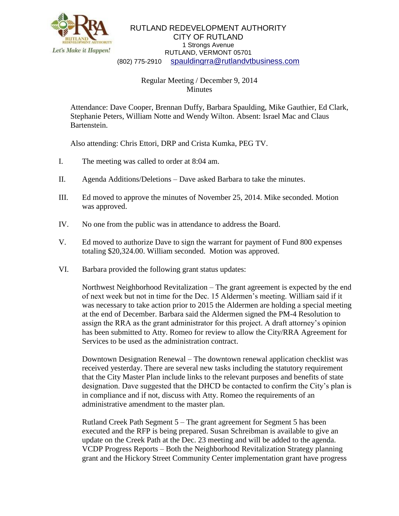

## RUTLAND REDEVELOPMENT AUTHORITY CITY OF RUTLAND 1 Strongs Avenue RUTLAND, VERMONT 05701 (802) 775-2910 [spauldingrra@rutlandvtbusiness.com](mailto:allenrra@rutlandvtbusiness.com)

## Regular Meeting / December 9, 2014 Minutes

Attendance: Dave Cooper, Brennan Duffy, Barbara Spaulding, Mike Gauthier, Ed Clark, Stephanie Peters, William Notte and Wendy Wilton. Absent: Israel Mac and Claus Bartenstein.

Also attending: Chris Ettori, DRP and Crista Kumka, PEG TV.

- I. The meeting was called to order at 8:04 am.
- II. Agenda Additions/Deletions Dave asked Barbara to take the minutes.
- III. Ed moved to approve the minutes of November 25, 2014. Mike seconded. Motion was approved.
- IV. No one from the public was in attendance to address the Board.
- V. Ed moved to authorize Dave to sign the warrant for payment of Fund 800 expenses totaling \$20,324.00. William seconded. Motion was approved.
- VI. Barbara provided the following grant status updates:

Northwest Neighborhood Revitalization – The grant agreement is expected by the end of next week but not in time for the Dec. 15 Aldermen's meeting. William said if it was necessary to take action prior to 2015 the Aldermen are holding a special meeting at the end of December. Barbara said the Aldermen signed the PM-4 Resolution to assign the RRA as the grant administrator for this project. A draft attorney's opinion has been submitted to Atty. Romeo for review to allow the City/RRA Agreement for Services to be used as the administration contract.

Downtown Designation Renewal – The downtown renewal application checklist was received yesterday. There are several new tasks including the statutory requirement that the City Master Plan include links to the relevant purposes and benefits of state designation. Dave suggested that the DHCD be contacted to confirm the City's plan is in compliance and if not, discuss with Atty. Romeo the requirements of an administrative amendment to the master plan.

Rutland Creek Path Segment 5 – The grant agreement for Segment 5 has been executed and the RFP is being prepared. Susan Schreibman is available to give an update on the Creek Path at the Dec. 23 meeting and will be added to the agenda. VCDP Progress Reports – Both the Neighborhood Revitalization Strategy planning grant and the Hickory Street Community Center implementation grant have progress